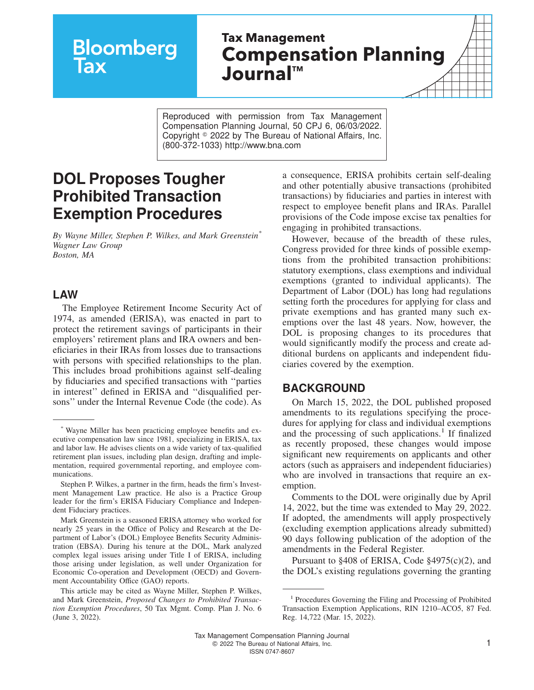# **Bloomberg** lax

## **Tax Management Compensation Planning JournalTM**

Reproduced with permission from Tax Management Compensation Planning Journal, 50 CPJ 6, 06/03/2022. Copyright  $\degree$  2022 by The Bureau of National Affairs, Inc. (800-372-1033) http://www.bna.com

### **DOL Proposes Tougher Prohibited Transaction Exemption Procedures**

*By Wayne Miller, Stephen P. Wilkes, and Mark Greenstein\* Wagner Law Group Boston, MA*

#### **LAW**

The Employee Retirement Income Security Act of 1974, as amended (ERISA), was enacted in part to protect the retirement savings of participants in their employers' retirement plans and IRA owners and beneficiaries in their IRAs from losses due to transactions with persons with specified relationships to the plan. This includes broad prohibitions against self-dealing by fiduciaries and specified transactions with ''parties in interest'' defined in ERISA and ''disqualified persons'' under the Internal Revenue Code (the code). As

Mark Greenstein is a seasoned ERISA attorney who worked for nearly 25 years in the Office of Policy and Research at the Department of Labor's (DOL) Employee Benefits Security Administration (EBSA). During his tenure at the DOL, Mark analyzed complex legal issues arising under Title I of ERISA, including those arising under legislation, as well under Organization for Economic Co-operation and Development (OECD) and Government Accountability Office (GAO) reports.

a consequence, ERISA prohibits certain self-dealing and other potentially abusive transactions (prohibited transactions) by fiduciaries and parties in interest with respect to employee benefit plans and IRAs. Parallel provisions of the Code impose excise tax penalties for engaging in prohibited transactions.

However, because of the breadth of these rules, Congress provided for three kinds of possible exemptions from the prohibited transaction prohibitions: statutory exemptions, class exemptions and individual exemptions (granted to individual applicants). The Department of Labor (DOL) has long had regulations setting forth the procedures for applying for class and private exemptions and has granted many such exemptions over the last 48 years. Now, however, the DOL is proposing changes to its procedures that would significantly modify the process and create additional burdens on applicants and independent fiduciaries covered by the exemption.

#### **BACKGROUND**

On March 15, 2022, the DOL published proposed amendments to its regulations specifying the procedures for applying for class and individual exemptions and the processing of such applications.<sup>1</sup> If finalized as recently proposed, these changes would impose significant new requirements on applicants and other actors (such as appraisers and independent fiduciaries) who are involved in transactions that require an exemption.

Comments to the DOL were originally due by April 14, 2022, but the time was extended to May 29, 2022. If adopted, the amendments will apply prospectively (excluding exemption applications already submitted) 90 days following publication of the adoption of the amendments in the Federal Register.

Pursuant to §408 of ERISA, Code §4975(c)(2), and the DOL's existing regulations governing the granting

<sup>\*</sup> Wayne Miller has been practicing employee benefits and executive compensation law since 1981, specializing in ERISA, tax and labor law. He advises clients on a wide variety of tax-qualified retirement plan issues, including plan design, drafting and implementation, required governmental reporting, and employee communications.

Stephen P. Wilkes, a partner in the firm, heads the firm's Investment Management Law practice. He also is a Practice Group leader for the firm's ERISA Fiduciary Compliance and Independent Fiduciary practices.

This article may be cited as Wayne Miller, Stephen P. Wilkes, and Mark Greenstein, *Proposed Changes to Prohibited Transaction Exemption Procedures*, 50 Tax Mgmt. Comp. Plan J. No. 6 (June 3, 2022).

<sup>&</sup>lt;sup>1</sup> Procedures Governing the Filing and Processing of Prohibited Transaction Exemption Applications, RIN 1210–ACO5, 87 Fed. Reg. 14,722 (Mar. 15, 2022).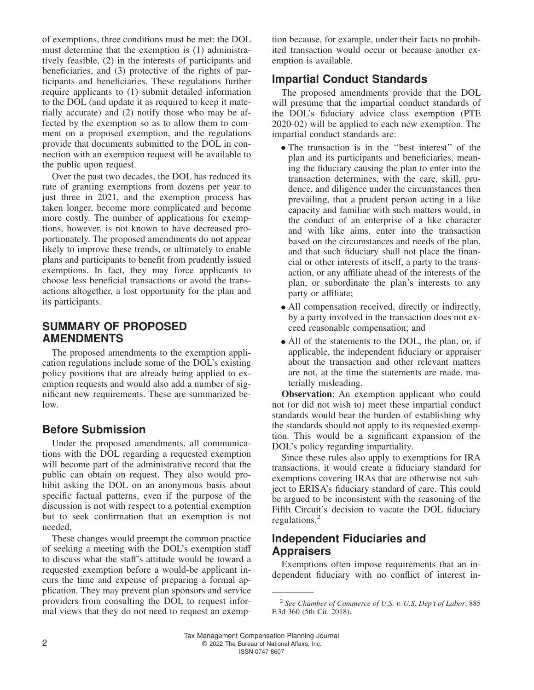of exemptions, three conditions must be met: the DOL must determine that the exemption is (1) administratively feasible, (2) in the interests of participants and beneficiaries, and (3) protective of the rights of participants and beneficiaries. These regulations further require applicants to (1) submit detailed information to the DOL (and update it as required to keep it materially accurate) and (2) notify those who may be affected by the exemption so as to allow them to comment on a proposed exemption, and the regulations provide that documents submitted to the DOL in connection with an exemption request will be available to the public upon request.

Over the past two decades, the DOL has reduced its rate of granting exemptions from dozens per year to just three in 2021, and the exemption process has taken longer, become more complicated and become more costly. The number of applications for exemptions, however, is not known to have decreased proportionately. The proposed amendments do not appear likely to improve these trends, or ultimately to enable plans and participants to benefit from prudently issued exemptions. In fact, they may force applicants to choose less beneficial transactions or avoid the transactions altogether, a lost opportunity for the plan and its participants.

#### **SUMMARY OF PROPOSED AMENDMENTS**

The proposed amendments to the exemption application regulations include some of the DOL's existing policy positions that are already being applied to exemption requests and would also add a number of significant new requirements. These are summarized below.

#### **Before Submission**

Under the proposed amendments, all communications with the DOL regarding a requested exemption will become part of the administrative record that the public can obtain on request. They also would prohibit asking the DOL on an anonymous basis about specific factual patterns, even if the purpose of the discussion is not with respect to a potential exemption but to seek confirmation that an exemption is not needed.

These changes would preempt the common practice of seeking a meeting with the DOL's exemption staff to discuss what the staff's attitude would be toward a requested exemption before a would-be applicant incurs the time and expense of preparing a formal application. They may prevent plan sponsors and service providers from consulting the DOL to request informal views that they do not need to request an exemption because, for example, under their facts no prohibited transaction would occur or because another exemption is available.

#### **Impartial Conduct Standards**

The proposed amendments provide that the DOL will presume that the impartial conduct standards of the DOL's fiduciary advice class exemption (PTE 2020-02) will be applied to each new exemption. The impartial conduct standards are:

- The transaction is in the ''best interest'' of the plan and its participants and beneficiaries, meaning the fiduciary causing the plan to enter into the transaction determines, with the care, skill, prudence, and diligence under the circumstances then prevailing, that a prudent person acting in a like capacity and familiar with such matters would, in the conduct of an enterprise of a like character and with like aims, enter into the transaction based on the circumstances and needs of the plan, and that such fiduciary shall not place the financial or other interests of itself, a party to the transaction, or any affiliate ahead of the interests of the plan, or subordinate the plan's interests to any party or affiliate;
- All compensation received, directly or indirectly, by a party involved in the transaction does not exceed reasonable compensation; and
- All of the statements to the DOL, the plan, or, if applicable, the independent fiduciary or appraiser about the transaction and other relevant matters are not, at the time the statements are made, materially misleading.

**Observation**: An exemption applicant who could not (or did not wish to) meet these impartial conduct standards would bear the burden of establishing why the standards should not apply to its requested exemption. This would be a significant expansion of the DOL's policy regarding impartiality.

Since these rules also apply to exemptions for IRA transactions, it would create a fiduciary standard for exemptions covering IRAs that are otherwise not subject to ERISA's fiduciary standard of care. This could be argued to be inconsistent with the reasoning of the Fifth Circuit's decision to vacate the DOL fiduciary regulations.<sup>2</sup>

#### **Independent Fiduciaries and Appraisers**

Exemptions often impose requirements that an independent fiduciary with no conflict of interest in-

<sup>2</sup> *See Chamber of Commerce of U.S. v. U.S. Dep't of Labor*, 885 F.3d 360 (5th Cir. 2018).

Tax Management Compensation Planning Journal 2 **2** 2022 The Bureau of National Affairs, Inc. ISSN 0747-8607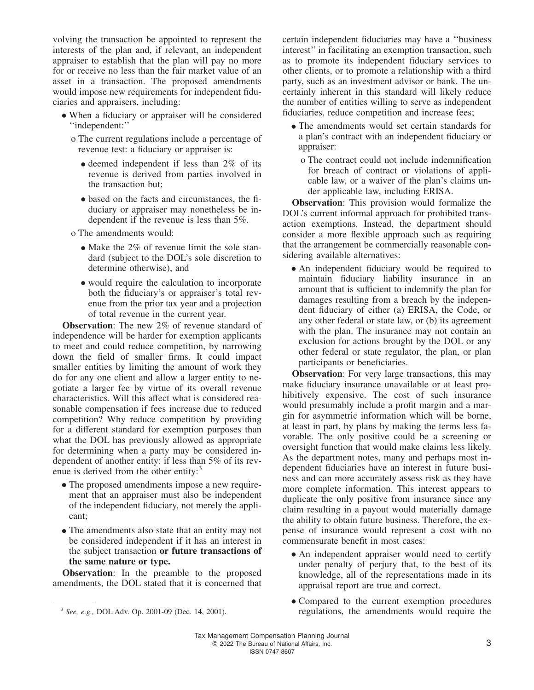volving the transaction be appointed to represent the interests of the plan and, if relevant, an independent appraiser to establish that the plan will pay no more for or receive no less than the fair market value of an asset in a transaction. The proposed amendments would impose new requirements for independent fiduciaries and appraisers, including:

- When a fiduciary or appraiser will be considered ''independent:''
	- o The current regulations include a percentage of revenue test: a fiduciary or appraiser is:
		- deemed independent if less than 2% of its<br>management is derived from narriage involved in revenue is derived from parties involved in the transaction but;
		- based on the facts and circumstances, the fiduciary or appraiser may nonetheless be independent if the revenue is less than 5%.
	- o The amendments would:
		- Make the 2% of revenue limit the sole standard (subject to the DOL's sole discretion to determine otherwise), and
		- would require the calculation to incorporate both the fiduciary's or appraiser's total revenue from the prior tax year and a projection of total revenue in the current year.

**Observation**: The new 2% of revenue standard of independence will be harder for exemption applicants to meet and could reduce competition, by narrowing down the field of smaller firms. It could impact smaller entities by limiting the amount of work they do for any one client and allow a larger entity to negotiate a larger fee by virtue of its overall revenue characteristics. Will this affect what is considered reasonable compensation if fees increase due to reduced competition? Why reduce competition by providing for a different standard for exemption purposes than what the DOL has previously allowed as appropriate for determining when a party may be considered independent of another entity: if less than 5% of its revenue is derived from the other entity:<sup>3</sup>

- The proposed amendments impose a new requirement that an appraiser must also be independent of the independent fiduciary, not merely the applicant;
- The amendments also state that an entity may not be considered independent if it has an interest in the subject transaction **or future transactions of the same nature or type.**

**Observation**: In the preamble to the proposed amendments, the DOL stated that it is concerned that certain independent fiduciaries may have a ''business interest'' in facilitating an exemption transaction, such as to promote its independent fiduciary services to other clients, or to promote a relationship with a third party, such as an investment advisor or bank. The uncertainly inherent in this standard will likely reduce the number of entities willing to serve as independent fiduciaries, reduce competition and increase fees;

- The amendments would set certain standards for a plan's contract with an independent fiduciary or appraiser:
	- o The contract could not include indemnification for breach of contract or violations of applicable law, or a waiver of the plan's claims under applicable law, including ERISA.

**Observation**: This provision would formalize the DOL's current informal approach for prohibited transaction exemptions. Instead, the department should consider a more flexible approach such as requiring that the arrangement be commercially reasonable considering available alternatives:

• An independent fiduciary would be required to maintain fiduciary liability insurance in an amount that is sufficient to indemnify the plan for damages resulting from a breach by the independent fiduciary of either (a) ERISA, the Code, or any other federal or state law, or (b) its agreement with the plan. The insurance may not contain an exclusion for actions brought by the DOL or any other federal or state regulator, the plan, or plan participants or beneficiaries.

**Observation**: For very large transactions, this may make fiduciary insurance unavailable or at least prohibitively expensive. The cost of such insurance would presumably include a profit margin and a margin for asymmetric information which will be borne, at least in part, by plans by making the terms less favorable. The only positive could be a screening or oversight function that would make claims less likely. As the department notes, many and perhaps most independent fiduciaries have an interest in future business and can more accurately assess risk as they have more complete information. This interest appears to duplicate the only positive from insurance since any claim resulting in a payout would materially damage the ability to obtain future business. Therefore, the expense of insurance would represent a cost with no commensurate benefit in most cases:

- An independent appraiser would need to certify under penalty of perjury that, to the best of its knowledge, all of the representations made in its appraisal report are true and correct.
- Compared to the current exemption procedures regulations, the amendments would require the

*See, e.g.,* DOL Adv. Op. 2001-09 (Dec. 14, 2001).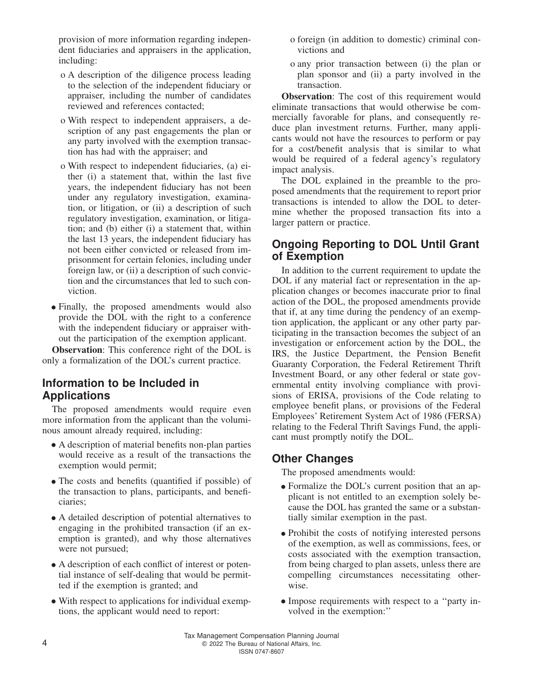provision of more information regarding independent fiduciaries and appraisers in the application, including:

- o A description of the diligence process leading to the selection of the independent fiduciary or appraiser, including the number of candidates reviewed and references contacted;
- o With respect to independent appraisers, a description of any past engagements the plan or any party involved with the exemption transaction has had with the appraiser; and
- o With respect to independent fiduciaries, (a) either (i) a statement that, within the last five years, the independent fiduciary has not been under any regulatory investigation, examination, or litigation, or (ii) a description of such regulatory investigation, examination, or litigation; and (b) either (i) a statement that, within the last 13 years, the independent fiduciary has not been either convicted or released from imprisonment for certain felonies, including under foreign law, or (ii) a description of such conviction and the circumstances that led to such conviction.
- Finally, the proposed amendments would also provide the DOL with the right to a conference with the independent fiduciary or appraiser without the participation of the exemption applicant.

**Observation**: This conference right of the DOL is only a formalization of the DOL's current practice.

#### **Information to be Included in Applications**

The proposed amendments would require even more information from the applicant than the voluminous amount already required, including:

- A description of material benefits non-plan parties would receive as a result of the transactions the exemption would permit;
- The costs and benefits (quantified if possible) of the transaction to plans, participants, and beneficiaries;
- A detailed description of potential alternatives to engaging in the prohibited transaction (if an exemption is granted), and why those alternatives were not pursued;
- A description of each conflict of interest or potential instance of self-dealing that would be permitted if the exemption is granted; and
- With respect to applications for individual exemptions, the applicant would need to report:
- o foreign (in addition to domestic) criminal convictions and
- o any prior transaction between (i) the plan or plan sponsor and (ii) a party involved in the transaction.

**Observation:** The cost of this requirement would eliminate transactions that would otherwise be commercially favorable for plans, and consequently reduce plan investment returns. Further, many applicants would not have the resources to perform or pay for a cost/benefit analysis that is similar to what would be required of a federal agency's regulatory impact analysis.

The DOL explained in the preamble to the proposed amendments that the requirement to report prior transactions is intended to allow the DOL to determine whether the proposed transaction fits into a larger pattern or practice.

#### **Ongoing Reporting to DOL Until Grant of Exemption**

In addition to the current requirement to update the DOL if any material fact or representation in the application changes or becomes inaccurate prior to final action of the DOL, the proposed amendments provide that if, at any time during the pendency of an exemption application, the applicant or any other party participating in the transaction becomes the subject of an investigation or enforcement action by the DOL, the IRS, the Justice Department, the Pension Benefit Guaranty Corporation, the Federal Retirement Thrift Investment Board, or any other federal or state governmental entity involving compliance with provisions of ERISA, provisions of the Code relating to employee benefit plans, or provisions of the Federal Employees' Retirement System Act of 1986 (FERSA) relating to the Federal Thrift Savings Fund, the applicant must promptly notify the DOL.

#### **Other Changes**

The proposed amendments would:

- Formalize the DOL's current position that an applicant is not entitled to an exemption solely because the DOL has granted the same or a substantially similar exemption in the past.
- Prohibit the costs of notifying interested persons of the exemption, as well as commissions, fees, or costs associated with the exemption transaction, from being charged to plan assets, unless there are compelling circumstances necessitating otherwise.
- Impose requirements with respect to a ''party involved in the exemption:''